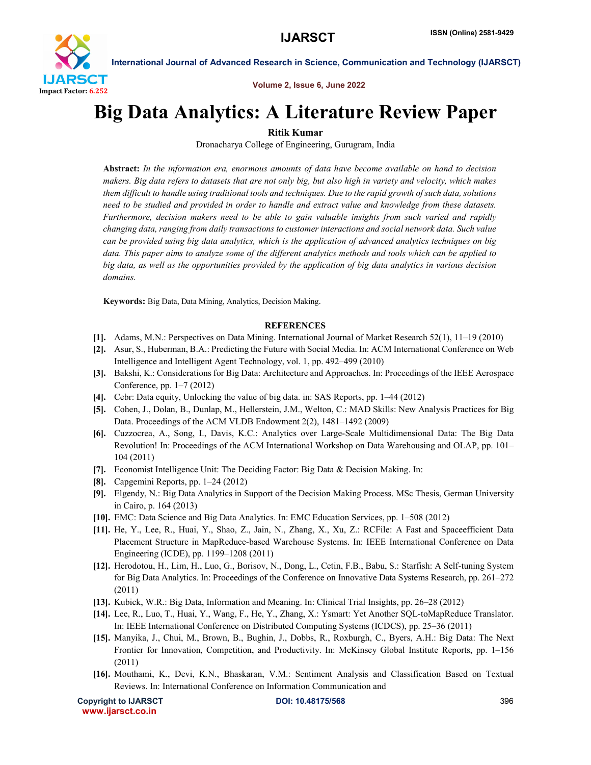

International Journal of Advanced Research in Science, Communication and Technology (IJARSCT)

Volume 2, Issue 6, June 2022

## Big Data Analytics: A Literature Review Paper

Ritik Kumar

Dronacharya College of Engineering, Gurugram, India

Abstract: *In the information era, enormous amounts of data have become available on hand to decision makers. Big data refers to datasets that are not only big, but also high in variety and velocity, which makes them difficult to handle using traditional tools and techniques. Due to the rapid growth of such data, solutions need to be studied and provided in order to handle and extract value and knowledge from these datasets. Furthermore, decision makers need to be able to gain valuable insights from such varied and rapidly changing data, ranging from daily transactions to customer interactions and social network data. Such value can be provided using big data analytics, which is the application of advanced analytics techniques on big data. This paper aims to analyze some of the different analytics methods and tools which can be applied to big data, as well as the opportunities provided by the application of big data analytics in various decision domains.*

Keywords: Big Data, Data Mining, Analytics, Decision Making.

## **REFERENCES**

- [1]. Adams, M.N.: Perspectives on Data Mining. International Journal of Market Research 52(1), 11–19 (2010)
- [2]. Asur, S., Huberman, B.A.: Predicting the Future with Social Media. In: ACM International Conference on Web Intelligence and Intelligent Agent Technology, vol. 1, pp. 492–499 (2010)
- [3]. Bakshi, K.: Considerations for Big Data: Architecture and Approaches. In: Proceedings of the IEEE Aerospace Conference, pp. 1–7 (2012)
- [4]. Cebr: Data equity, Unlocking the value of big data. in: SAS Reports, pp. 1–44 (2012)
- [5]. Cohen, J., Dolan, B., Dunlap, M., Hellerstein, J.M., Welton, C.: MAD Skills: New Analysis Practices for Big Data. Proceedings of the ACM VLDB Endowment 2(2), 1481–1492 (2009)
- [6]. Cuzzocrea, A., Song, I., Davis, K.C.: Analytics over Large-Scale Multidimensional Data: The Big Data Revolution! In: Proceedings of the ACM International Workshop on Data Warehousing and OLAP, pp. 101– 104 (2011)
- [7]. Economist Intelligence Unit: The Deciding Factor: Big Data & Decision Making. In:
- [8]. Capgemini Reports, pp. 1–24 (2012)
- [9]. Elgendy, N.: Big Data Analytics in Support of the Decision Making Process. MSc Thesis, German University in Cairo, p. 164 (2013)
- [10]. EMC: Data Science and Big Data Analytics. In: EMC Education Services, pp. 1–508 (2012)
- [11]. He, Y., Lee, R., Huai, Y., Shao, Z., Jain, N., Zhang, X., Xu, Z.: RCFile: A Fast and Spaceefficient Data Placement Structure in MapReduce-based Warehouse Systems. In: IEEE International Conference on Data Engineering (ICDE), pp. 1199–1208 (2011)
- [12]. Herodotou, H., Lim, H., Luo, G., Borisov, N., Dong, L., Cetin, F.B., Babu, S.: Starfish: A Self-tuning System for Big Data Analytics. In: Proceedings of the Conference on Innovative Data Systems Research, pp. 261–272 (2011)
- [13]. Kubick, W.R.: Big Data, Information and Meaning. In: Clinical Trial Insights, pp. 26–28 (2012)
- [14]. Lee, R., Luo, T., Huai, Y., Wang, F., He, Y., Zhang, X.: Ysmart: Yet Another SQL-toMapReduce Translator. In: IEEE International Conference on Distributed Computing Systems (ICDCS), pp. 25–36 (2011)
- [15]. Manyika, J., Chui, M., Brown, B., Bughin, J., Dobbs, R., Roxburgh, C., Byers, A.H.: Big Data: The Next Frontier for Innovation, Competition, and Productivity. In: McKinsey Global Institute Reports, pp. 1–156 (2011)
- [16]. Mouthami, K., Devi, K.N., Bhaskaran, V.M.: Sentiment Analysis and Classification Based on Textual Reviews. In: International Conference on Information Communication and

Copyright to IJARSCT **DOI: 10.48175/568** 396 www.ijarsct.co.in